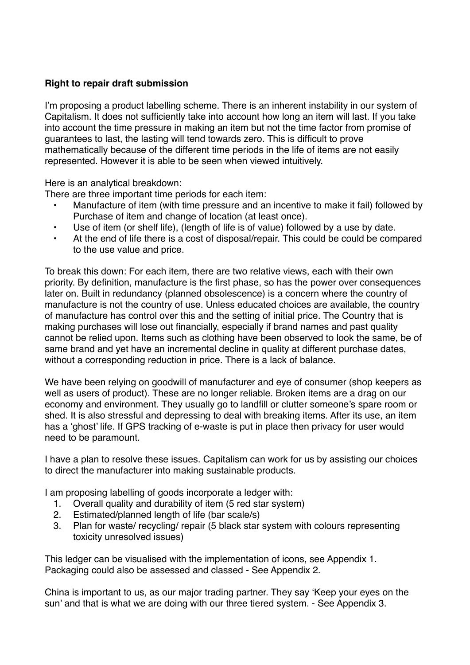## **Right to repair draft submission**

I'm proposing a product labelling scheme. There is an inherent instability in our system of Capitalism. It does not sufficiently take into account how long an item will last. If you take into account the time pressure in making an item but not the time factor from promise of guarantees to last, the lasting will tend towards zero. This is difficult to prove mathematically because of the different time periods in the life of items are not easily represented. However it is able to be seen when viewed intuitively.

Here is an analytical breakdown:

There are three important time periods for each item:

- Manufacture of item (with time pressure and an incentive to make it fail) followed by Purchase of item and change of location (at least once).
- Use of item (or shelf life), (length of life is of value) followed by a use by date.
- At the end of life there is a cost of disposal/repair. This could be could be compared to the use value and price.

To break this down: For each item, there are two relative views, each with their own priority. By definition, manufacture is the first phase, so has the power over consequences later on. Built in redundancy (planned obsolescence) is a concern where the country of manufacture is not the country of use. Unless educated choices are available, the country of manufacture has control over this and the setting of initial price. The Country that is making purchases will lose out financially, especially if brand names and past quality cannot be relied upon. Items such as clothing have been observed to look the same, be of same brand and yet have an incremental decline in quality at different purchase dates, without a corresponding reduction in price. There is a lack of balance.

We have been relying on goodwill of manufacturer and eye of consumer (shop keepers as well as users of product). These are no longer reliable. Broken items are a drag on our economy and environment. They usually go to landfill or clutter someone's spare room or shed. It is also stressful and depressing to deal with breaking items. After its use, an item has a 'ghost' life. If GPS tracking of e-waste is put in place then privacy for user would need to be paramount.

I have a plan to resolve these issues. Capitalism can work for us by assisting our choices to direct the manufacturer into making sustainable products.

I am proposing labelling of goods incorporate a ledger with:

- 1. Overall quality and durability of item (5 red star system)
- 2. Estimated/planned length of life (bar scale/s)
- 3. Plan for waste/ recycling/ repair (5 black star system with colours representing toxicity unresolved issues)

This ledger can be visualised with the implementation of icons, see Appendix 1. Packaging could also be assessed and classed - See Appendix 2.

China is important to us, as our major trading partner. They say 'Keep your eyes on the sun' and that is what we are doing with our three tiered system. - See Appendix 3.